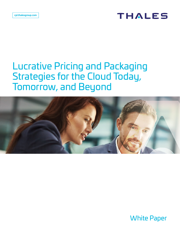## **THALES**

# Lucrative Pricing and Packaging Strategies for the Cloud Today, Tomorrow, and Beyond



White Paper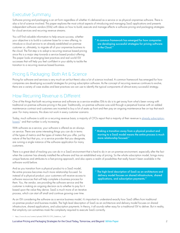### Executive Summary

Software pricing and packaging is an art form regardless of whether it's delivered as a service or as physical onpremise software. There is also a lot of science involved. This paper explores the most critical aspects of introducing and managing SaaS applications and presents independent software vendors (ISVs) with ideas on how to build, execute and manage effectiv e software pricing and packaging strategies for cloud services and recurring revenue streams.

You will find valuable information to help ensure success, whether your objective is to build a customer base for a new offering, to introduce a cloud service to an already established on-premise customer or, ultimately, to migrate all of your onpremise business to the cloud. The first step is to adopt a recurring revenue based pricing since this is a major step towards a service based product offering. This paper looks at emerging best practices and real world ISV successes that will help you feel confident in your ability to tackle the transition to a recurring revenue based business.

" A common framework has emerged for how companies are developing successful strategies for pricing software in the Cloud."

### Pricing & Packaging: Both Art & Science

Pricing for software and services is very much an art but there's also a lot of science involved. A common framework has emerged for how companies are developing successful strategies for pricing subscription software. As the concept of recurring revenue continues to evolve, there are a variety of case studies and best practices we can use to identify the typical components of almost every successful strategy.

### How Recurring Revenue is Different

One of the things that both recurring revenue and software as a service enables ISVs to do is to get away from what's been wrong with traditional on-premise software pricing in the past. Traditionally, on-premise software was sold through a perpetual license with an added maintenance contract and customers are incented to buy a lot of seats up front and then pay an ongoing maintenance fee on top that each year. For many reasons, this does not work in every customer scenario.

Today, much software is sold on a recurring revenue basis; a majority of CFOs report that a majority of their revenue is already subscriptionbased, 1 and that number is only increasing.

With software as a service, your software is offered as an alwayson service. There are some interesting things you can do in terms of the types of metrics and the types of meters that you offer, just by nature of the fact that you, or a service provider that you designate, are running a single instance of the software application for many customers.

" Making a transition away from a physical product and moving to a SaaS model means the entire process is much more relationship focused."

There is a great deal of tracking you can do in a SaaS environment that is hard to do in an on-premise environment, especially after the fact when the customer has already installed the software and has an established way of pricing. So the whole subscription model, brings many unique features and attributes to a fast-pricing approach, and also opens a realm of possibilities that really haven't been available in the software world before.

And as you transition from a physical product to a SaaS model, the entire process becomes much more relationship focused. So instead of a physical product, your customers will receive access to software resources that will help complete a business process for them. You, the vendor, are providing the software service and the customer is making an ongoing decision as to whether to pay for it based upon the value they derive. SaaS is much more of an iterative process, which can start off small and continue growing over time.

" The high-level description of SaaS as an architecture and delivery model focuses on shared infrastructure, shared applications, and subscription payments."

As an ISV considering the software as a service business model, it's important to understand exactly how SaaS differs from traditional on-premise product and business models. The high-level description of SaaS as an architecture and delivery model focuses on shared infrastructure, shared applications, and subscription payments. In theory, it all sounds rather easy for a traditional ISV to deliver. But in reality, that simplicity can sometimes mask the complexity required to execute SaaS correctly.

1 https://www.cfo.com/content/uploads/2019/01/CFO\_Salesforce\_1.pdf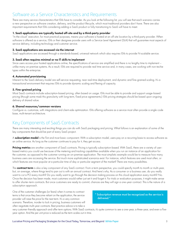### Software as a Service Characteristics and Requirements

There are many service characteristics that ISVs have to consider. As you look at the following list, you will see that each scenario carries a new perspective on software creation, delivery, and the product lifecycle, which most traditional providers don't have. There are also important requirements that ISVs considering adding a SaaS product or fully transitioning to SaaS will have to meet.

#### 1. SaaS applications are typically hosted off-site and by a third-party provider

"In-the-cloud" execution, for most practical purposes, means your software is hosted at an off-site location by a third-party provider. When software is offered as a service, ISVs or their designee provide users with a Service Level Agreement (SLA) that will guarantee most aspects of service delivery, including technology and customer service.

#### 2. SaaS applications are accessed via the internet

SaaS applications are accessed through a standards-based, universal network which also requires ISVs to provide N-scalable service.

#### 3. SaaS often requires minimal or no IT skills to implement

Since users access your hosted applications online, the specifications of service are simplified and there is no lengthy time to implement – unlike many on-premise systems. As a result, ISVs are required to provide real time service and, in many cases, are working with non-techie types within the enterprise.

#### 4. Automated provisioning

Inherent to the SaaS delivery model are self-service requesting, near real-time deployment, and dynamic and fine-grained scaling. It's a transactional environment that requires ISVs to provide dynamic scaling and flexing of capacity.

#### 5. Fine-grained pricing

Most SaaS contracts include subscription-based pricing, often based on usage. ISVs must be able to provide and support usage-based pricing (though some mask this granularity with long-term, fixed price agreements.) ISVs pricing strategies should be based upon ongoing delivery of shared value.

#### 6. Shared resources/common versions

Configure vs. customize, with integrations and client-side optimization. ISVs offering software as a service most often provide a single code base, multi-tenant architecture.

### Key Components of SaaS Contracts

There are many interesting and exciting things you can do with SaaS packaging and pricing. What follows is an explanation of some of the key components that should be part of every SaaS project.

A subscription model is the first and most basic component. With a subscription model, users pay on a recurring basis to access software as an online service. As long as the customer continues to pay for it, they get access.

Pricing metrics are another component of SaaS contracts. Pricing is typically subscription-based. With SaaS, there are a variety of userbased metrics you could use because of the metering and tracking capabilities available when you run an instance of an application for the customer, as opposed to the customer running an on-premise application. The most simplistic example would be to measure how many business users are accessing the service. But much more sophisticated scenarios exist. For instance, which features are used most often, or which features are most popular at a particular time of day or particular segment of the market? There are many possibilities.

The contract term is also a key component of any SaaS contract. From a term perspective, you could specify month to month or multi-year, but, on average, where things tend to pan out is with an annual contract. And here's why. As a consumer or a business user, do you really want to cut a PO every month? Do you really want to go through the decision making process on this cloud application every month? No. Once the decision has been made, most customers would rather just set it and forget it. For trials or evaluation purposes, it might make sense to offer shorter-term contracts. But once customers are ready to commit, chances are they will sign a one-year contract. This is the nature of a subscription approach.

One of the customer challenges (or fears) when it comes to contract terms is that once they become reliant on the application, the service provider will raise the price for the next term. It's a very common scenario. Therefore, inorder to lock in pricing, business customers will often negotiate multi-year contracts. Best practice advice is to take a

" Subscription revenue must be recognized as the service is delivered."

very customer-friendly approach and offer term options. With SaaS contracts, it's quite common to see a one-year, a three-year, and even a fiveyear option. And the per unit price is reduced as the term scales out in time.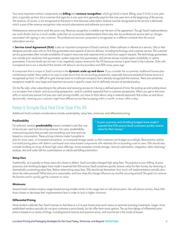Two more important contract components are **billing** and **revenue recognition**, which go hand in hand. Billing, even if it's for a one-year term, is typically up front. So a customer that signs for a one-year term generally pays for that one-year term at the beginning of the service. The revenue, of course, is not recognized at that point in time because subscription revenue must be recognized as the service is delivered, which is part of the revenue-recognition rules around subscriptions and software as a service.

Maintenance revenue terms work the same way. Revenue recognition is ratable over the term of the agreement. Though SaaS implementations are much shorter and on a much smaller scale than an on-premise implementation there may also be professional service start-up charges associated with signing a new customer. The professional services component is recognized on a different schedule than the actual subscription service.

A Service-Level Agreement (SLA) is also an important component of SaaS contracts. When software is offered as a service, ISVs or their designee provide users with an SLA that guarantees most aspects of service delivery, including technology and customer service. The customer service guarantees often include availability of support resources and response time on technical support requests. The technology guarantees can include error resolution time guarantees, system response time guarantees, and almost always include system availability or uptime guarantees. If service levels are not met, it can negatively impact revenue for the ISV because money is given back to the customer. SLAs with moneyback terms are a standard that started with telecom service providers and ASPs many years ago.

A component that is unique to SaaS contracts is the dynamic scale up and down. If you consider the on-premise, traditional license-plusmaintenance model, there really is no way to scale down from an accounting perspective, especially because perpetual license revenue is recognized up front. It is difficult to give licenses back to a software company that's already recognized that revenue. There are sometimes exceptions made for very large and important accounts in specific cases, but it's definitely not part of standard policy.

On the flip side, when subscribing to the software and receiving access to it during a defined period of time, the scaling up and scaling down is a lot easier from a back- end accounting perspective—and it's certainly expected from a customer perspective. When you get to the more utility or actual pay-peruse (not pay-per-user) pricing models, you have to think about using a metered approach that scales up and down dynamically, meaning your customer might have different prices they're paying within a month, or even within a day.

### Keep it Simple But Not One Size Fits All

Additional SaaS contract considerations include predictability, setup fees, minimums, and differential pricing.

#### **Predictability**

For software vendors **predictability** means consistent costs (the cost of service per user) and recurring revenue. For users, predictability means pricing plans that provide cost smoothing over time and cost based on consumption. These pricing criterions make it possible to

" A poor economy and shrinking budgets have made it essential that ISVs ensure SaaS customers quickly receive value for their money."

plan for more users, or increased transactions, or increased storage needs, so that customers can budget accordingly. Best practice advice is to build pricing plans with distinct cost-based and value-based components with relatively flat on-boarding costs to users. ISVs should also consider building an array of tiered high-value offerings. Some examples include storage, network optimization, integration, data cleansing/ analysis, test and code QA for customizations or advanced billing automation.

#### Setup Fees

Traditionally, as a penalty to those users who chose to defect, SaaS providers charged high setup fees. This practice is now shifting. A poor economy and shrinking budgets have made it essential that ISVs ensure SaaS customers quickly receive value for their money, by removing or dramatically constraining setup fees. Before determining setup fees, ISVs should ask themselves: how much will implementations actually slow down the sales process? What amount is reasonable, and how does this charge influence my monthly recurring prices? The goal is to remove the barriers and to quickly get the customer to value.

#### Minimums

Several SaaS vendors employ usage-based pricing models similar to the usage tiers on cell phone plans. Like cell phone carriers, these ISVs have chosen to decrease their implementation fees in order to lock in higher minimums.

#### Differential Pricing

Most vendors calibrate their SaaS licenses so that there is a 3-4 year break-even point versus on-premise licensing investments. Larger, more established vendors typically do not give customers a price break, but do offer them more options. The up-front design of differential price plans is based on a variety of things, including brand maturity and premium price, and must be set in the minds of buyers.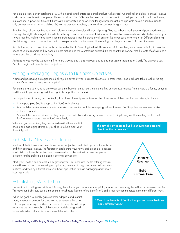For example, consider an established ISV with an established enterprise e-mail product, with several hundred million dollars in annual revenue and a strong user base that employs differential pricing. The ISV knows the average cost per user to run their product, which includes license, maintenance, support, full-time staff, hardware, utility costs, and so on. Even though users can get a comparable hosted e-mail solution for only pennies per user, this established ISV, with its premium franchise, commands a consistently higher price.

So when they roll out their hosted e-mail solution, they could employ differential pricing. They use a benchmark price and positioned the new offering at a slight advantage to it – which, in theory, controls price erosion. It is important to note that customers have indicated repeatedly in surveys that they feel the value in multi-tenant architectures is that the provider will pass on the lower costs to the end user. Differential pricing that is too high is seen as out of touch with a cost-plus method or the value of the offering, and buyers may avoid it as not truly new.

It's a balancing act to keep it simple but not one size fits all. Balancing the flexibility as your pricing evolves, while also continuing to meet the needs of your customers as they become more mature and more enterprise oriented. It's important to remember that the roots of software as a service and the cloud are in simplicity.

At this point, you may be wondering if there are ways to easily address your pricing and packaging strategies for SaaS. The answer is yes. And it all begins with your business objectives.

### Pricing & Packaging Begins with Business Objectives

Pricing and packaging strategies should always be driven by your business objectives. In other words, step back and take a look at the big picture. What are you trying to accomplish?

For example, are you trying to grow your customer base for a new entry into the market, or maximize revenue from a mature offering, or trying to differentiate your offering to defend against competitive pressures?

This paper looks at pricing and packaging from three different perspectives, and explores some of the objectives and strategies for each.

- **•** A new pure-play SaaS startup, with a SaaS-only offering.
- **•** An established software vendor with an existing on-premise portfolio, attempting to launch a new SaaS application to a new market or customer segment.
- **•** An established vendor with an existing on-premise portfolio and a strong customer base wishing to augment the existing portfolio with SaaS or even migrate over to SaaS completely.

Whatever your objectives, they undoubtedly will influence which pricing and packaging strategies you choose to help meet your financial goals.

" The key objectives are to build your customer base and then to optimize revenue."

### Kick-Start a New SaaS Offering

In either of the first two scenarios above, the key objectives are to build your customer base, and then optimize revenue. The first step in establishing your new SaaS product or business is to build a customer base. You need customers for market validation, revenue, product direction, and to stake a claim against potential competitors.

Next, you'll be focused on continually growing your user base and, as the offering matures, you will need to start concentrating on optimizing revenues through the monetization of new features, and then by differentiating your SaaS application through packaging and various licensing models.



### Establishing Market Share

The key to establishing market share is in tying the value of your service to your pricing model and balancing that with your business objectives. This may sound obvious, but it is important to emphasize that one of the benefits of SaaS is that you can monetize in so many different ways.

When the goal is to quickly gain customer adoption and market share, it needs to be easy for customers to experience the core value of your offering with little or no barrier to entry. The following examples are just a sampling of the various models being used today to build a customer base and establish market share.

" One of the benefits of SaaS is that you can monetize in so many different ways."

Define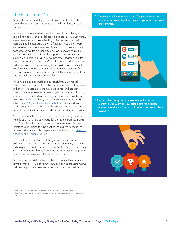### The Freemium Model

With the freemium model, you provide your core functionality for free and establish a pay-for-upgrade path that includes increased functionality.

This model is recommended when the value of your offering is derived from some sort of collaborative capabilities. In other words, where there's more value derived by individual users and their interaction as the user base grows, a freemium model may work well. Another scenario where freemium is a good choice is when the technology or the functionality is not well understood by the market. The freemium model is also a good option when there is a substantial increase in value to the user if they upgrade from the free version to the paid version. With a freemium model, if it is hard to demonstrate the value in moving to the paid version, you run the risk of getting stuck with a large user base and no revenues. The important message here is to be very careful how you segment your functionality between free and paid for.

LinkedIn, is a good example of a successful freemium model. LinkedIn free users can maintain their professional network of present and prior work associates, industry colleagues, and contacts. LinkedIn generates revenue in three ways—premium subscriptions, corporate solutions (such as recruiting services), and advertising. They are operating profitably and 2019 revenue was nearly \$7 billion, <u>with 25% growth over the year before</u>.<sup>2</sup> LinkedIn shows impressive growth fueled by a rapidly growing user base and a clear differentiation in value derived from the premium subscriptions.

As another example, Canva is a template-based design platform that allows anyone to create beautiful, shareable graphics. But as CEO Melanie Perkins mused, people who have never designed something aren't going to have confidence until they experience success, so the on-boarding experience must be effortless. It needs <u>to lead to quick, happy results</u>.<sup>3</sup>

Here, the free subscription model reigns supreme. Canva uses the freemium pricing model to give users the opportunity to create endless quantities of beautiful designs without paying a penny. Only after users are hooked does Canva look to more advanced pricing tiers to increase customer value and make a profit.

And users are definitely getting hooked on Canva. The company estimates that over 80% of Fortune 500 companies are using Canva, and the company has been valued at over one billion dollars.

" Choosing which model works best for your business will depend upon your objectives, your application, and your target market."



" Best practice...suggests you take away the barriers to entry. Set a relatively low price point for a limited feature set and minimize or avoid set-up fees as much as possible."



- 2 https://www.microsoft.com/en-us/Investor/earnings/FY-2020-Q1/press-release-webcast)
- 3 https://cpl.thalesgroup.com/2020/03/14/six-creative-companies-using-subscription-models-brilliantways-0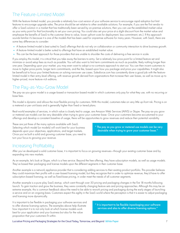### The Feature-Limited Model

With the feature-limited model, you provide a relatively low-cost version of your software service to encourage rapid adoption but limit features to encourage upgrade sales. The price should be set relative to other available solutions. For example, if you are the first vendor to offer a SaaS solution in a market that has traditionally been served by on-premise solutions, then you can use the established market value as your entry point for that functionality to set your own pricing. You could also set your price at a slight discount from the market value and emphasize the benefits of SaaS to the customer (time to value, lower upfront costs for deployment, less commitment, etc.). If this approach sounds familiar it's because it is one of the models that has been used for onpremise software for many years. However, with SaaS, there are some key differences to consider:

- **•** A feature-limited model is best suited to SaaS offerings that do not rely on collaboration or community interaction to drive business growth.
- **•** A feature-limited model is better suited to offerings that have an established market value.
- **•** This can be the best approach for those providers that are unable to shoulder the costs of delivering a free service in scale.

If you employ this model, it is critical that you take away the barriers to entry. Set a relatively low price point for a limited feature set and minimize or avoid setup fees as much as possible. You will also want to limit term commitments as much as possible; likely nothing longer than one year. Depending upon your market, you may even want to adopt a no-contracts approach to start out. You can then incent customers to move to higher price points, longer term commitments, and the like, based upon how you package and price your capabilities. It might also be beneficial to focus your limited features on solving narrower use cases. Salesforce.com has consistently done a good job with the featurelimited model in their entry-level offering, with revenue growth derived from organizations that increase their user bases, as well as move up to higher-priced, more feature-rich editions.

### The Pay-as-You-Grow Model

The pay-as-you-grow model is a usage-based or transaction based model in which customers only pay for what they use, with no recurring or base fees.

This model is dynamic and allows the most flexible pricing for customers. With this model, customers take on very little up-front risk. Pricing is on a metered or per-unit basis and is generally higher than fixed or tiered plans.

Real-world examples of services, in which value is closely tied to usage, are Amazon Web Services (AWS) or Skype. The pay-as-you grow or metered use models can be very desirable when trying to grow your customer base. Once your customers become accustomed to your offerings and develop a consistent baseline of usage, there will be opportunities to grow revenues and reduce their potential variability.

These are just three of the many options available with SaaS. Selecting which model (or models) will work best for your business depends upon your objectives, applications, and target markets. Once you've built a solid and growing customer base, you need to turn your focus to growing your revenue.

" The pay as you grow or metered use models can be very desirable when trying to grow your customer base."

#### Increasing Profitability

After you've developed a solid customer base, it is important to focus on growing revenues—through your existing customer base and by expanding into new markets.

As an example, let's look at Skype, which is a free service. Beyond the free offering, they have subscription models, as well as usage models. They've based their packaging and license models upon the different segments in their customer base.

Another example is a network appliance provider that is considering adding services to their existing product portfolio. This provider believes they could maximize their profits with a user-based licensing model, but they recognize that in order to optimize revenue, they'd have to offer subscription-based licensing, as well as fixed-base pricing, in order meet the needs of all customer segments.

Another example is a pure-play SaaS startup, which went through over 50 pricing and packaging changes in the first 18 months following launch. To gain traction and grow the business, they were constantly changing feature sets and pricing approaches. Although this may be an extreme example, this is common feedback about the need to be able to rework pricing and packaging during the early stages of launching a service and on an ongoing basis. Customers expect this agility in the SaaS world where the perception is that it is easier to adjust packaging and licensing more dynamically.

It is important to be flexible in packaging your software services and to offer diverse licensing options. The examples above help illustrate how important it is to not only look at which license models work best for your application and your business but also for the value proposition that your customers fit within.

" It is important to be flexible inpackaging your software services and also to offer diverse licensing options."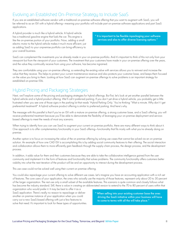### Evolving an Established On-Premise Strategy to Include SaaS

If you are an established software vendor with a traditional on-premise software offering that you want to augment with SaaS, you will be referred to as an ISV with a hybrid offering—meaning your portfolio will include part on-premise software applications and part SaaS applications.

A hybrid provider is much like a hybrid vehicle. A hybrid vehicle has a traditional gasoline engine that fuels the car. This engine is like the on-premise portion of your portfolio. Now, adding a small electric motor to the hybrid vehicle makes it much more efficient, just as adding SaaS to your onpremise portfolio can bring efficiency to your overall business.

" It is important to be flexible inpackaging your software services and also to offer diverse licensing options."

SaaS can complement the investments you've already made in your on-premise portfolio. And it's important to think of this not only from your viewpoint but from the viewpoint of your customers. The investment that your customers have made in your on-premise offering over the years, and the value they continually receive from using your software, has become ingrained.

They are comfortable using your on-premise offering, so extending the existing value with services allows you to reinvest and increase the value that they receive. This helps to protect your current maintenance revenue and also protects your customer base, and keeps them focused on the value you bring to them. Looking at how SaaS can augment on-premise offerings to solve problems is an important strategy for established on-premise ISVs.

### Hybrid Pricing and Packaging Strategies

Next, we'll explore some of the pricing and packaging strategies for hybrid offerings. But first, let's look at yet another parallel between the hybrid vehicle and a hybrid product offering. We'll call it preferred parking. If you don't yet drive a hybrid vehicle, you probably get a little frustrated when you see one of those signs in the parking lot that reads 'Hybrid Parking Only.' You're thinking "Wait a minute. Why don't I get preferential treatment?" A hybrid software product offering is similar to preferred parking. And here's why.

The message with this parallel is that if you're an ISV with a mature on-premise offering, a strong customer base, and a SaaS offering, you will receive preferential treatment because you'll be able to demonstrate the flexibility of leveraging your on-premise deployment and servicebased offerings to meet the needs of most any scenario.

When trying to identify how you can use SaaS to augment your current on-premise portfolio, there are many different ways to think about it. One approach is to offer complementary functionality in your SaaS offering—functionality that fits nicely with what you're already doing on premise.

Another option is to focus on increasing the value of the on premise offering by solving use cases that cannot be solved via an on premise solution. An example of how one CAD ISV is accomplishing this is by adding social community features to their offering. The social interaction and collaboration allows them to more efficiently gain feedback through the supply-chain process, the design process, and the development process.

In addition, it adds value for them and their customers because they are able to take the collaborative intelligence gained from the user community and implement it in the form of features and functionality that solves problems. The community functionality offers customers better visibility into what the next iteration of the product will be and an opportunity to interact during the development process.

This use case could not be solved well using their current on premise offering.

You could also repackage your current offering to solve different use cases. Let's imagine you have an accounting application with a rich set of features. The core users of your application, the ones who actually use the majority of those features, represent only about 20 to 30 percent of the larger organization. The rest use only a small subset of the available features. This scenario is quite common and closely follows what has become the industry standard. Still, there is value in creating an abbreviated version to extend to the 70 to 80 percent of users within that

organization who would prefer it. It may be best to offer it as a SaaS application. There's really no reason to repackage or deliver another on premise instance of your application when you could carry out a new SaaS-based offering with just a few features to solve that need. It's important to look for these types of opportunities.

" When selling into your existing customer base the ones driving the SaaS initiative within your business will have to come to terms with all the will take place."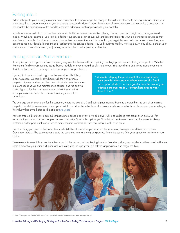### Easing into It

When selling into your existing customer base, it is critical to acknowledge the changes that will take place with moving to SaaS. Once your team does that, it doesn't mean that your customers have, and it doesn't mean that the rest of the organization has either. It's a transition. It is important to be considerate of the need to ease into adding a SaaS application to your portfolio.

Initially, one way to do that is to use license models that fit the current on-premise offering. Perhaps you don't begin with a usage-based model. Maybe, for example, you start by offering your service as an annual subscription and align it to your maintenance renewals so that your internal organization doesn't have to change their processes too much in order for you to get that service in the market. Over time, you can introduce new flexible license models that better fit the service offerings you've brought to market. Moving slowly may allow more of your customers to come with you on your journey, reducing churn and improving satisfaction.

### Pricing Is an Art-And a Science

It's very important to figure out how you are going to enter the market from a pricing, packaging, and overall strategy perspective. Whether that means flexible subscriptions, usage-based models, or even prepaid pools, is up to you. You should also be thinking about even more flexible options, such as overages, rollovers, or peak usage choices.

Figuring it all out starts by doing some homework and building a business case. Generally, ISVs begin with their on-premise perpetual license number and then think about elements like current maintenance renewal and maintenance attrition, and the existing costs of goods for their perpetual model. Next, they consider assumptions around what their renewal rate might be with a subscription.

" When developing the price point, the average breakeven point for the customer, where the cost of a SaaS subscription starts to become greater than the cost of your existing perpetual model, is somewhere around year three to four."

The average break-even point for the customer, where the cost of a SaaS subscription starts to become greater than the cost of an existing perpetual model, is somewhere around year 3-4. It doesn't matter what type of software you have, or what type of customer you're selling to, the industry benchmark standard is at least <u>two years.</u><sup>4</sup>

You can then calibrate your SaaS subscription price based upon your own objectives while considering that break-even point. So, for example, if you want to incent people to move over to the SaaS subscription, you'll push that break–even point out. If you want to keep customers on the perpetual model, which many cautious vendors do, then reel in that break–even point.

The other thing you need to think about as you build this out is whether you want to offer one-year, three-year, and five-year options. Obviously, there will be some advantage to the customer, from a pricing perspective, if they choose the five-year option versus the one-year option.

These elements essentially cover the science part of the pricing and packaging formula. Everything else you consider is art because it will have some element of your unique situation and orientation based upon your objectives, applications, and target markets.



4 https://www.pwc.com/mt/en/publications/assets/pwc-the-future-of-software-pricing-excellence-saas-pricing.pdf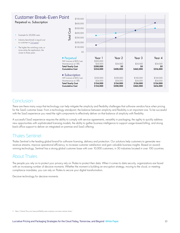

#### Conclusion

There are there many ways that technology can help mitigate the simplicity and flexibility challenges that software vendors face when pricing for the SaaS customer base. From a technology standpoint, the balance between simplicity and flexibility is an important one. To be successful with the SaaS experience you need the right components to effectively deliver on that balance of simplicity with flexibility.

A successful SaaS experience requires the ability to comply with service agreements, versatility in packaging, the agility to quickly address new opportunities with sophisticated licensing models, the ability to gather business intelligence to support usage-based billing, and strong back-office support to deliver an integrated on premise and SaaS offering.

### Thales Sentinel

Thales Sentinel is the leading global brand for software licensing, delivery and protection. Our solutions help customers to generate new revenue streams, improve operational efficiency, to increase customer satisfaction and gain valuable business insights. Based on awardwinning technology, Sentinel has a strong global customer base with over 10,000 customers, in 30 industries located in over 100 countries.

### About Thales

The people you rely on to protect your privacy rely on Thales to protect their data. When it comes to data security, organizations are faced with an increasing number of decisive moments. Whether the moment is building an encryption strategy, moving to the cloud, or meeting compliance mandates, you can rely on Thales to secure your digital transformation.

Decisive technology for decisive moments.

<sup>5</sup> https://chaotic-flow.com/saas-profitability-saas-company-is-as-saas-customer-does/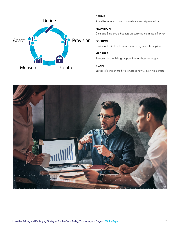

#### DEFINE

A versitile service catalog for maximum market penetration

#### PROVISION

Contracts & automate business processes to maximize efficiency

#### **CONTROL**

Service authorization to ensure service agreement compliance

#### MEASURE

Service usage for billing support & instant business insight

#### ADAPT

Service offering on-the-fly to embrace new & evolving markets